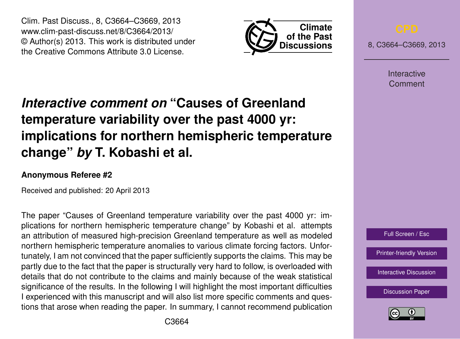Clim. Past Discuss., 8, C3664–C3669, 2013 www.clim-past-discuss.net/8/C3664/2013/ © Author(s) 2013. This work is distributed under the Creative Commons Attribute 3.0 License.



8, C3664–C3669, 2013

Interactive Comment

# *Interactive comment on* **"Causes of Greenland temperature variability over the past 4000 yr: implications for northern hemispheric temperature change"** *by* **T. Kobashi et al.**

## **Anonymous Referee #2**

Received and published: 20 April 2013

The paper "Causes of Greenland temperature variability over the past 4000 yr: implications for northern hemispheric temperature change" by Kobashi et al. attempts an attribution of measured high-precision Greenland temperature as well as modeled northern hemispheric temperature anomalies to various climate forcing factors. Unfortunately, I am not convinced that the paper sufficiently supports the claims. This may be partly due to the fact that the paper is structurally very hard to follow, is overloaded with details that do not contribute to the claims and mainly because of the weak statistical significance of the results. In the following I will highlight the most important difficulties I experienced with this manuscript and will also list more specific comments and questions that arose when reading the paper. In summary, I cannot recommend publication



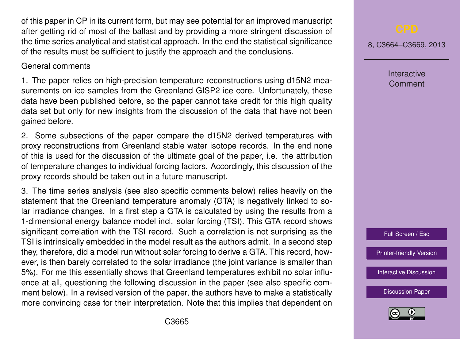of this paper in CP in its current form, but may see potential for an improved manuscript after getting rid of most of the ballast and by providing a more stringent discussion of the time series analytical and statistical approach. In the end the statistical significance of the results must be sufficient to justify the approach and the conclusions.

### General comments

1. The paper relies on high-precision temperature reconstructions using d15N2 measurements on ice samples from the Greenland GISP2 ice core. Unfortunately, these data have been published before, so the paper cannot take credit for this high quality data set but only for new insights from the discussion of the data that have not been gained before.

2. Some subsections of the paper compare the d15N2 derived temperatures with proxy reconstructions from Greenland stable water isotope records. In the end none of this is used for the discussion of the ultimate goal of the paper, i.e. the attribution of temperature changes to individual forcing factors. Accordingly, this discussion of the proxy records should be taken out in a future manuscript.

3. The time series analysis (see also specific comments below) relies heavily on the statement that the Greenland temperature anomaly (GTA) is negatively linked to solar irradiance changes. In a first step a GTA is calculated by using the results from a 1-dimensional energy balance model incl. solar forcing (TSI). This GTA record shows significant correlation with the TSI record. Such a correlation is not surprising as the TSI is intrinsically embedded in the model result as the authors admit. In a second step they, therefore, did a model run without solar forcing to derive a GTA. This record, however, is then barely correlated to the solar irradiance (the joint variance is smaller than 5%). For me this essentially shows that Greenland temperatures exhibit no solar influence at all, questioning the following discussion in the paper (see also specific comment below). In a revised version of the paper, the authors have to make a statistically more convincing case for their interpretation. Note that this implies that dependent on

8, C3664–C3669, 2013

Interactive Comment

Full Screen / Esc

[Printer-friendly Version](http://www.clim-past-discuss.net/8/C3664/2013/cpd-8-C3664-2013-print.pdf)

[Interactive Discussion](http://www.clim-past-discuss.net/8/4817/2012/cpd-8-4817-2012-discussion.html)

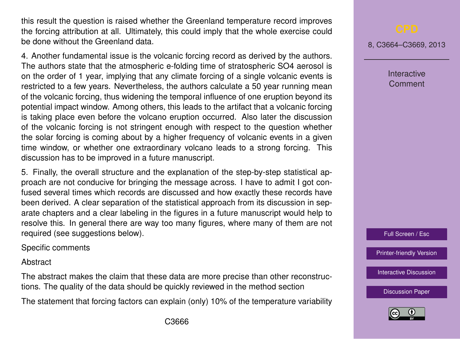this result the question is raised whether the Greenland temperature record improves the forcing attribution at all. Ultimately, this could imply that the whole exercise could be done without the Greenland data.

4. Another fundamental issue is the volcanic forcing record as derived by the authors. The authors state that the atmospheric e-folding time of stratospheric SO4 aerosol is on the order of 1 year, implying that any climate forcing of a single volcanic events is restricted to a few years. Nevertheless, the authors calculate a 50 year running mean of the volcanic forcing, thus widening the temporal influence of one eruption beyond its potential impact window. Among others, this leads to the artifact that a volcanic forcing is taking place even before the volcano eruption occurred. Also later the discussion of the volcanic forcing is not stringent enough with respect to the question whether the solar forcing is coming about by a higher frequency of volcanic events in a given time window, or whether one extraordinary volcano leads to a strong forcing. This discussion has to be improved in a future manuscript.

5. Finally, the overall structure and the explanation of the step-by-step statistical approach are not conducive for bringing the message across. I have to admit I got confused several times which records are discussed and how exactly these records have been derived. A clear separation of the statistical approach from its discussion in separate chapters and a clear labeling in the figures in a future manuscript would help to resolve this. In general there are way too many figures, where many of them are not required (see suggestions below).

Specific comments

**Abstract** 

The abstract makes the claim that these data are more precise than other reconstructions. The quality of the data should be quickly reviewed in the method section

The statement that forcing factors can explain (only) 10% of the temperature variability

8, C3664–C3669, 2013

**Interactive** Comment

Full Screen / Esc

[Printer-friendly Version](http://www.clim-past-discuss.net/8/C3664/2013/cpd-8-C3664-2013-print.pdf)

[Interactive Discussion](http://www.clim-past-discuss.net/8/4817/2012/cpd-8-4817-2012-discussion.html)

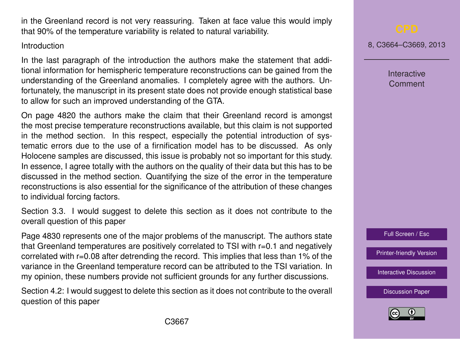in the Greenland record is not very reassuring. Taken at face value this would imply that 90% of the temperature variability is related to natural variability.

### Introduction

In the last paragraph of the introduction the authors make the statement that additional information for hemispheric temperature reconstructions can be gained from the understanding of the Greenland anomalies. I completely agree with the authors. Unfortunately, the manuscript in its present state does not provide enough statistical base to allow for such an improved understanding of the GTA.

On page 4820 the authors make the claim that their Greenland record is amongst the most precise temperature reconstructions available, but this claim is not supported in the method section. In this respect, especially the potential introduction of systematic errors due to the use of a firnification model has to be discussed. As only Holocene samples are discussed, this issue is probably not so important for this study. In essence, I agree totally with the authors on the quality of their data but this has to be discussed in the method section. Quantifying the size of the error in the temperature reconstructions is also essential for the significance of the attribution of these changes to individual forcing factors.

Section 3.3. I would suggest to delete this section as it does not contribute to the overall question of this paper

Page 4830 represents one of the major problems of the manuscript. The authors state that Greenland temperatures are positively correlated to TSI with r=0.1 and negatively correlated with r=0.08 after detrending the record. This implies that less than 1% of the variance in the Greenland temperature record can be attributed to the TSI variation. In my opinion, these numbers provide not sufficient grounds for any further discussions.

Section 4.2: I would suggest to delete this section as it does not contribute to the overall question of this paper

8, C3664–C3669, 2013

Interactive Comment



[Printer-friendly Version](http://www.clim-past-discuss.net/8/C3664/2013/cpd-8-C3664-2013-print.pdf)

[Interactive Discussion](http://www.clim-past-discuss.net/8/4817/2012/cpd-8-4817-2012-discussion.html)

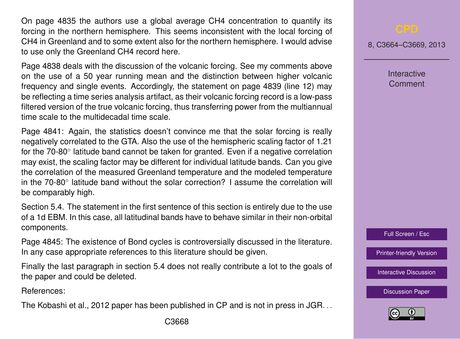On page 4835 the authors use a global average CH4 concentration to quantify its forcing in the northern hemisphere. This seems inconsistent with the local forcing of CH4 in Greenland and to some extent also for the northern hemisphere. I would advise to use only the Greenland CH4 record here.

Page 4838 deals with the discussion of the volcanic forcing. See my comments above on the use of a 50 year running mean and the distinction between higher volcanic frequency and single events. Accordingly, the statement on page 4839 (line 12) may be reflecting a time series analysis artifact, as their volcanic forcing record is a low-pass filtered version of the true volcanic forcing, thus transferring power from the multiannual time scale to the multidecadal time scale.

Page 4841: Again, the statistics doesn't convince me that the solar forcing is really negatively correlated to the GTA. Also the use of the hemispheric scaling factor of 1.21 for the 70-80° latitude band cannot be taken for granted. Even if a negative correlation may exist, the scaling factor may be different for individual latitude bands. Can you give the correlation of the measured Greenland temperature and the modeled temperature in the 70-80° latitude band without the solar correction? I assume the correlation will be comparably high.

Section 5.4. The statement in the first sentence of this section is entirely due to the use of a 1d EBM. In this case, all latitudinal bands have to behave similar in their non-orbital components.

Page 4845: The existence of Bond cycles is controversially discussed in the literature. In any case appropriate references to this literature should be given.

Finally the last paragraph in section 5.4 does not really contribute a lot to the goals of the paper and could be deleted.

References:

The Kobashi et al., 2012 paper has been published in CP and is not in press in JGR. . .

8, C3664–C3669, 2013

**Interactive Comment** 

Full Screen / Esc

[Printer-friendly Version](http://www.clim-past-discuss.net/8/C3664/2013/cpd-8-C3664-2013-print.pdf)

[Interactive Discussion](http://www.clim-past-discuss.net/8/4817/2012/cpd-8-4817-2012-discussion.html)